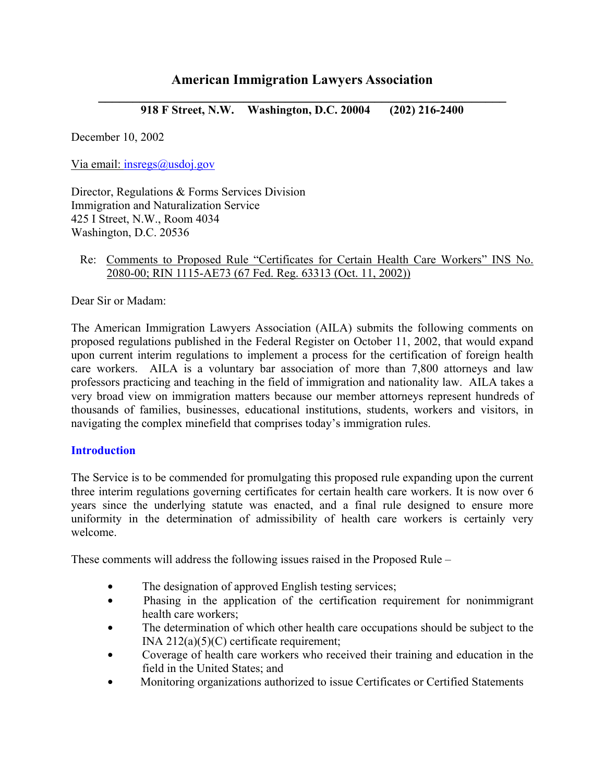# **American Immigration Lawyers Association**

**\_\_\_\_\_\_\_\_\_\_\_\_\_\_\_\_\_\_\_\_\_\_\_\_\_\_\_\_\_\_\_\_\_\_\_\_\_\_\_\_\_\_\_\_\_\_\_\_\_\_\_\_\_\_\_\_\_\_\_ 918 F Street, N.W. Washington, D.C. 20004 (202) 216-2400** 

December 10, 2002

Via email: insregs@usdoj.gov

Director, Regulations & Forms Services Division Immigration and Naturalization Service 425 I Street, N.W., Room 4034 Washington, D.C. 20536

### Re: Comments to Proposed Rule "Certificates for Certain Health Care Workers" INS No. 2080-00; RIN 1115-AE73 (67 Fed. Reg. 63313 (Oct. 11, 2002))

Dear Sir or Madam:

The American Immigration Lawyers Association (AILA) submits the following comments on proposed regulations published in the Federal Register on October 11, 2002, that would expand upon current interim regulations to implement a process for the certification of foreign health care workers. AILA is a voluntary bar association of more than 7,800 attorneys and law professors practicing and teaching in the field of immigration and nationality law. AILA takes a very broad view on immigration matters because our member attorneys represent hundreds of thousands of families, businesses, educational institutions, students, workers and visitors, in navigating the complex minefield that comprises today's immigration rules.

### **Introduction**

The Service is to be commended for promulgating this proposed rule expanding upon the current three interim regulations governing certificates for certain health care workers. It is now over 6 years since the underlying statute was enacted, and a final rule designed to ensure more uniformity in the determination of admissibility of health care workers is certainly very welcome.

These comments will address the following issues raised in the Proposed Rule –

- The designation of approved English testing services;
- Phasing in the application of the certification requirement for nonimmigrant health care workers;
- The determination of which other health care occupations should be subject to the INA  $212(a)(5)(C)$  certificate requirement;
- Coverage of health care workers who received their training and education in the field in the United States; and
- **Monitoring organizations authorized to issue Certificates or Certified Statements**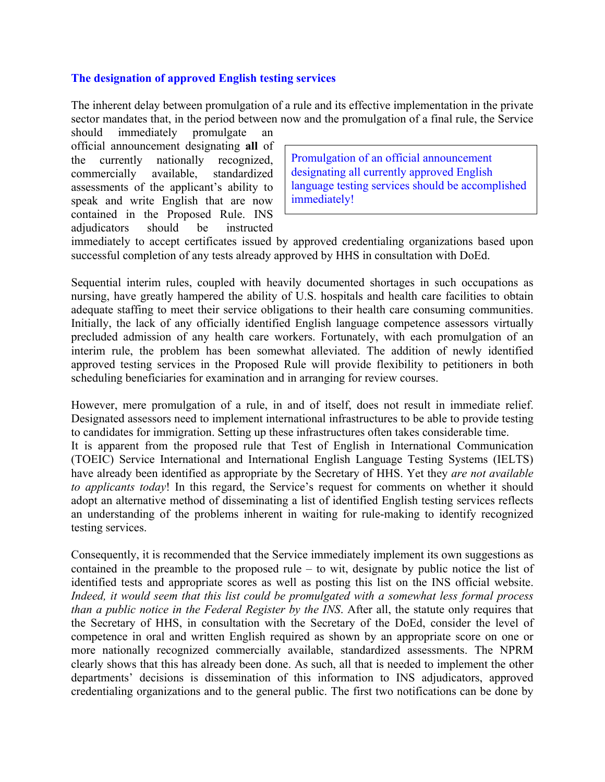## **The designation of approved English testing services**

The inherent delay between promulgation of a rule and its effective implementation in the private sector mandates that, in the period between now and the promulgation of a final rule, the Service

should immediately promulgate an official announcement designating **all** of the currently nationally recognized, commercially available, standardized assessments of the applicant's ability to speak and write English that are now contained in the Proposed Rule. INS adjudicators should be instructed

Promulgation of an official announcement designating all currently approved English language testing services should be accomplished immediately!

immediately to accept certificates issued by approved credentialing organizations based upon successful completion of any tests already approved by HHS in consultation with DoEd.

Sequential interim rules, coupled with heavily documented shortages in such occupations as nursing, have greatly hampered the ability of U.S. hospitals and health care facilities to obtain adequate staffing to meet their service obligations to their health care consuming communities. Initially, the lack of any officially identified English language competence assessors virtually precluded admission of any health care workers. Fortunately, with each promulgation of an interim rule, the problem has been somewhat alleviated. The addition of newly identified approved testing services in the Proposed Rule will provide flexibility to petitioners in both scheduling beneficiaries for examination and in arranging for review courses.

However, mere promulgation of a rule, in and of itself, does not result in immediate relief. Designated assessors need to implement international infrastructures to be able to provide testing to candidates for immigration. Setting up these infrastructures often takes considerable time.

It is apparent from the proposed rule that Test of English in International Communication (TOEIC) Service International and International English Language Testing Systems (IELTS) have already been identified as appropriate by the Secretary of HHS. Yet they *are not available to applicants today*! In this regard, the Service's request for comments on whether it should adopt an alternative method of disseminating a list of identified English testing services reflects an understanding of the problems inherent in waiting for rule-making to identify recognized testing services.

Consequently, it is recommended that the Service immediately implement its own suggestions as contained in the preamble to the proposed rule  $-$  to wit, designate by public notice the list of identified tests and appropriate scores as well as posting this list on the INS official website. *Indeed, it would seem that this list could be promulgated with a somewhat less formal process than a public notice in the Federal Register by the INS*. After all, the statute only requires that the Secretary of HHS, in consultation with the Secretary of the DoEd, consider the level of competence in oral and written English required as shown by an appropriate score on one or more nationally recognized commercially available, standardized assessments. The NPRM clearly shows that this has already been done. As such, all that is needed to implement the other departments' decisions is dissemination of this information to INS adjudicators, approved credentialing organizations and to the general public. The first two notifications can be done by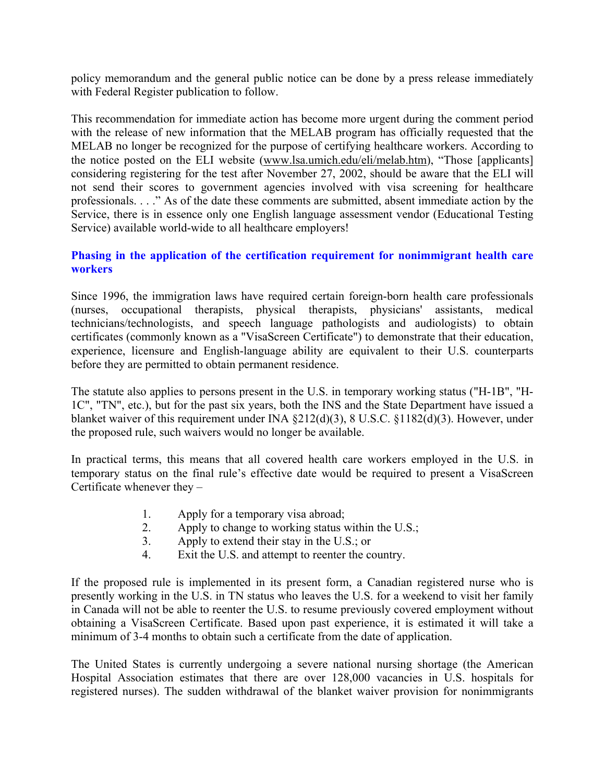policy memorandum and the general public notice can be done by a press release immediately with Federal Register publication to follow.

This recommendation for immediate action has become more urgent during the comment period with the release of new information that the MELAB program has officially requested that the MELAB no longer be recognized for the purpose of certifying healthcare workers. According to the notice posted on the ELI website (www.lsa.umich.edu/eli/melab.htm), "Those [applicants] considering registering for the test after November 27, 2002, should be aware that the ELI will not send their scores to government agencies involved with visa screening for healthcare professionals. . . .î As of the date these comments are submitted, absent immediate action by the Service, there is in essence only one English language assessment vendor (Educational Testing Service) available world-wide to all healthcare employers!

# **Phasing in the application of the certification requirement for nonimmigrant health care workers**

Since 1996, the immigration laws have required certain foreign-born health care professionals (nurses, occupational therapists, physical therapists, physicians' assistants, medical technicians/technologists, and speech language pathologists and audiologists) to obtain certificates (commonly known as a "VisaScreen Certificate") to demonstrate that their education, experience, licensure and English-language ability are equivalent to their U.S. counterparts before they are permitted to obtain permanent residence.

The statute also applies to persons present in the U.S. in temporary working status ("H-1B", "H-1C", "TN", etc.), but for the past six years, both the INS and the State Department have issued a blanket waiver of this requirement under INA ß212(d)(3), 8 U.S.C. ß1182(d)(3). However, under the proposed rule, such waivers would no longer be available.

In practical terms, this means that all covered health care workers employed in the U.S. in temporary status on the final rule's effective date would be required to present a VisaScreen Certificate whenever they  $-$ 

- 1. Apply for a temporary visa abroad;
- 2. Apply to change to working status within the U.S.;
- 3. Apply to extend their stay in the U.S.; or
- 4. Exit the U.S. and attempt to reenter the country.

If the proposed rule is implemented in its present form, a Canadian registered nurse who is presently working in the U.S. in TN status who leaves the U.S. for a weekend to visit her family in Canada will not be able to reenter the U.S. to resume previously covered employment without obtaining a VisaScreen Certificate. Based upon past experience, it is estimated it will take a minimum of 3-4 months to obtain such a certificate from the date of application.

The United States is currently undergoing a severe national nursing shortage (the American Hospital Association estimates that there are over 128,000 vacancies in U.S. hospitals for registered nurses). The sudden withdrawal of the blanket waiver provision for nonimmigrants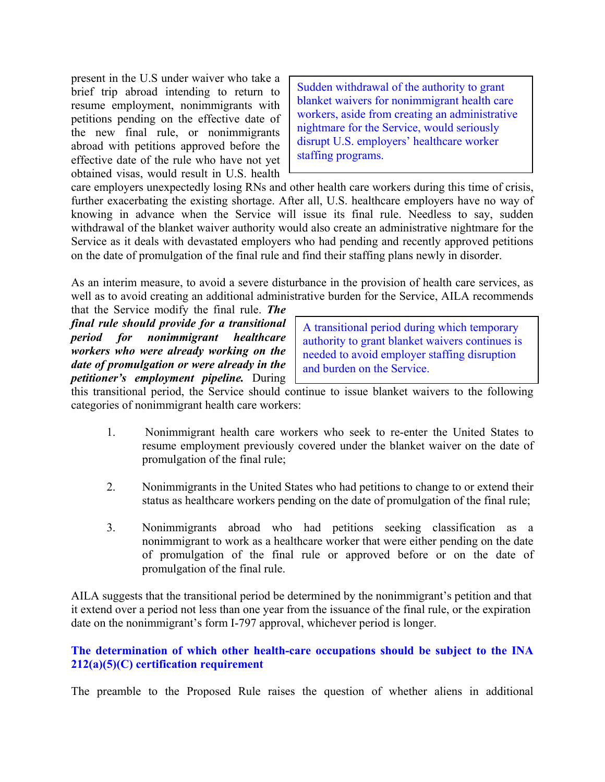present in the U.S under waiver who take a brief trip abroad intending to return to resume employment, nonimmigrants with petitions pending on the effective date of the new final rule, or nonimmigrants abroad with petitions approved before the effective date of the rule who have not yet obtained visas, would result in U.S. health

Sudden withdrawal of the authority to grant blanket waivers for nonimmigrant health care workers, aside from creating an administrative nightmare for the Service, would seriously disrupt U.S. employers' healthcare worker staffing programs.

care employers unexpectedly losing RNs and other health care workers during this time of crisis, further exacerbating the existing shortage. After all, U.S. healthcare employers have no way of knowing in advance when the Service will issue its final rule. Needless to say, sudden withdrawal of the blanket waiver authority would also create an administrative nightmare for the Service as it deals with devastated employers who had pending and recently approved petitions on the date of promulgation of the final rule and find their staffing plans newly in disorder.

As an interim measure, to avoid a severe disturbance in the provision of health care services, as well as to avoid creating an additional administrative burden for the Service, AILA recommends

that the Service modify the final rule. *The final rule should provide for a transitional period for nonimmigrant healthcare workers who were already working on the date of promulgation or were already in the petitioner's employment pipeline.* During

A transitional period during which temporary authority to grant blanket waivers continues is needed to avoid employer staffing disruption and burden on the Service.

this transitional period, the Service should continue to issue blanket waivers to the following categories of nonimmigrant health care workers:

- 1. Nonimmigrant health care workers who seek to re-enter the United States to resume employment previously covered under the blanket waiver on the date of promulgation of the final rule;
- 2. Nonimmigrants in the United States who had petitions to change to or extend their status as healthcare workers pending on the date of promulgation of the final rule;
- 3. Nonimmigrants abroad who had petitions seeking classification as a nonimmigrant to work as a healthcare worker that were either pending on the date of promulgation of the final rule or approved before or on the date of promulgation of the final rule.

AILA suggests that the transitional period be determined by the nonimmigrant's petition and that it extend over a period not less than one year from the issuance of the final rule, or the expiration date on the nonimmigrant's form I-797 approval, whichever period is longer.

## **The determination of which other health-care occupations should be subject to the INA 212(a)(5)(C) certification requirement**

The preamble to the Proposed Rule raises the question of whether aliens in additional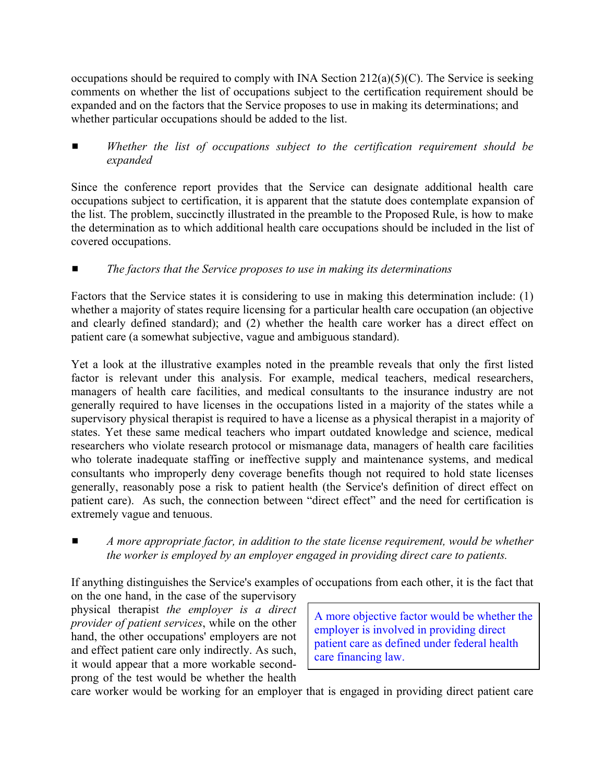occupations should be required to comply with INA Section  $212(a)(5)(C)$ . The Service is seeking comments on whether the list of occupations subject to the certification requirement should be expanded and on the factors that the Service proposes to use in making its determinations; and whether particular occupations should be added to the list.

Whether the list of occupations subject to the certification requirement should be *expanded*

Since the conference report provides that the Service can designate additional health care occupations subject to certification, it is apparent that the statute does contemplate expansion of the list. The problem, succinctly illustrated in the preamble to the Proposed Rule, is how to make the determination as to which additional health care occupations should be included in the list of covered occupations.

# ■ The factors that the Service proposes to use in making its determinations

Factors that the Service states it is considering to use in making this determination include: (1) whether a majority of states require licensing for a particular health care occupation (an objective and clearly defined standard); and (2) whether the health care worker has a direct effect on patient care (a somewhat subjective, vague and ambiguous standard).

Yet a look at the illustrative examples noted in the preamble reveals that only the first listed factor is relevant under this analysis. For example, medical teachers, medical researchers, managers of health care facilities, and medical consultants to the insurance industry are not generally required to have licenses in the occupations listed in a majority of the states while a supervisory physical therapist is required to have a license as a physical therapist in a majority of states. Yet these same medical teachers who impart outdated knowledge and science, medical researchers who violate research protocol or mismanage data, managers of health care facilities who tolerate inadequate staffing or ineffective supply and maintenance systems, and medical consultants who improperly deny coverage benefits though not required to hold state licenses generally, reasonably pose a risk to patient health (the Service's definition of direct effect on patient care). As such, the connection between "direct effect" and the need for certification is extremely vague and tenuous.

■ *A more appropriate factor, in addition to the state license requirement, would be whether the worker is employed by an employer engaged in providing direct care to patients.*

If anything distinguishes the Service's examples of occupations from each other, it is the fact that

on the one hand, in the case of the supervisory physical therapist *the employer is a direct provider of patient services*, while on the other hand, the other occupations' employers are not and effect patient care only indirectly. As such, it would appear that a more workable secondprong of the test would be whether the health

A more objective factor would be whether the employer is involved in providing direct patient care as defined under federal health care financing law.

care worker would be working for an employer that is engaged in providing direct patient care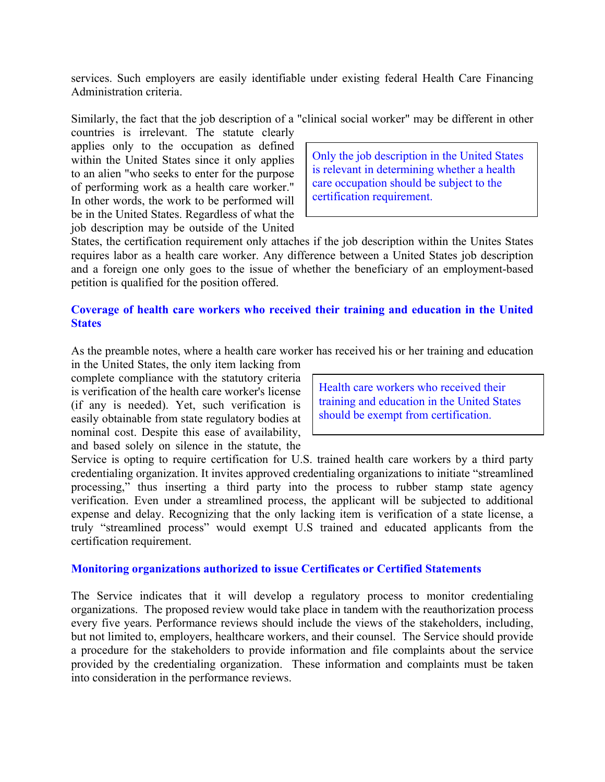services. Such employers are easily identifiable under existing federal Health Care Financing Administration criteria.

Similarly, the fact that the job description of a "clinical social worker" may be different in other

countries is irrelevant. The statute clearly applies only to the occupation as defined within the United States since it only applies to an alien "who seeks to enter for the purpose of performing work as a health care worker." In other words, the work to be performed will be in the United States. Regardless of what the job description may be outside of the United

Only the job description in the United States is relevant in determining whether a health care occupation should be subject to the certification requirement.

States, the certification requirement only attaches if the job description within the Unites States requires labor as a health care worker. Any difference between a United States job description and a foreign one only goes to the issue of whether the beneficiary of an employment-based petition is qualified for the position offered.

## **Coverage of health care workers who received their training and education in the United States**

As the preamble notes, where a health care worker has received his or her training and education

in the United States, the only item lacking from complete compliance with the statutory criteria is verification of the health care worker's license (if any is needed). Yet, such verification is easily obtainable from state regulatory bodies at nominal cost. Despite this ease of availability, and based solely on silence in the statute, the

Health care workers who received their training and education in the United States should be exempt from certification.

Service is opting to require certification for U.S. trained health care workers by a third party credentialing organization. It invites approved credentialing organizations to initiate "streamlined" processing," thus inserting a third party into the process to rubber stamp state agency verification. Even under a streamlined process, the applicant will be subjected to additional expense and delay. Recognizing that the only lacking item is verification of a state license, a truly "streamlined process" would exempt U.S trained and educated applicants from the certification requirement.

### **Monitoring organizations authorized to issue Certificates or Certified Statements**

The Service indicates that it will develop a regulatory process to monitor credentialing organizations. The proposed review would take place in tandem with the reauthorization process every five years. Performance reviews should include the views of the stakeholders, including, but not limited to, employers, healthcare workers, and their counsel. The Service should provide a procedure for the stakeholders to provide information and file complaints about the service provided by the credentialing organization. These information and complaints must be taken into consideration in the performance reviews.